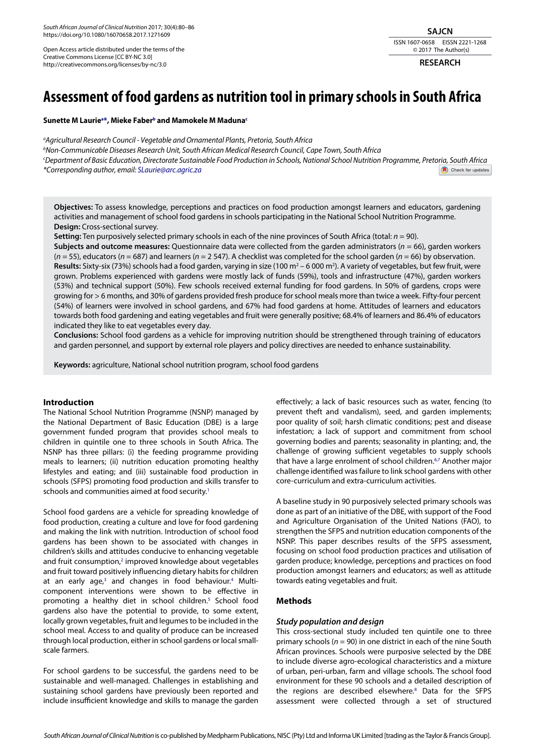*South African Journal of Clinical Nutrition* 2017; 30(4):80–86 https://doi.org/10.1080/16070658.2017.1271609

Open Access article distributed under the terms of the Creative Commons License [CC BY-NC 3.0] http://creativecommons.org/licenses/by-nc/3.0

## **SAJCN** ISSN 1607-0658 EISSN 2221-1268 © 2017 The Author(s)

**RESEARCH**

# **Assessment of food gardens as nutrition tool in primary schools in South Africa**

## **Sunette M Lauriea \*, Mieke Faberb and Mamokele M Madunac**

*a Agricultural Research Council - Vegetable and Ornamental Plants, Pretoria, South Africa b Non-Communicable Diseases Research Unit, South African Medical Research Council, Cape Town, South Africa c Department of Basic Education, Directorate Sustainable Food Production in Schools, National School Nutrition Programme, Pretoria, South Africa \*Corresponding author, email: SLaurie@arc.agric.za* Check for updates

**Objectives:** To assess knowledge, perceptions and practices on food production amongst learners and educators, gardening activities and management of school food gardens in schools participating in the National School Nutrition Programme. **Design:** Cross-sectional survey.

**Setting:** Ten purposively selected primary schools in each of the nine provinces of South Africa (total: *n* = 90).

**Subjects and outcome measures:** Questionnaire data were collected from the garden administrators (*n* = 66), garden workers (*n* = 55), educators (*n* = 687) and learners (*n* = 2 547). A checklist was completed for the school garden (*n* = 66) by observation. **Results:** Sixty-six (73%) schools had a food garden, varying in size (100 m<sup>2</sup> – 6 000 m<sup>2</sup>). A variety of vegetables, but few fruit, were grown. Problems experienced with gardens were mostly lack of funds (59%), tools and infrastructure (47%), garden workers (53%) and technical support (50%). Few schools received external funding for food gardens. In 50% of gardens, crops were growing for > 6 months, and 30% of gardens provided fresh produce for school meals more than twice a week. Fifty-four percent (54%) of learners were involved in school gardens, and 67% had food gardens at home. Attitudes of learners and educators towards both food gardening and eating vegetables and fruit were generally positive; 68.4% of learners and 86.4% of educators indicated they like to eat vegetables every day.

**Conclusions:** School food gardens as a vehicle for improving nutrition should be strengthened through training of educators and garden personnel, and support by external role players and policy directives are needed to enhance sustainability.

**Keywords:** agriculture, National school nutrition program, school food gardens

# **Introduction**

The National School Nutrition Programme (NSNP) managed by the National Department of Basic Education (DBE) is a large government funded program that provides school meals to children in quintile one to three schools in South Africa. The NSNP has three pillars: (i) the feeding programme providing meals to learners; (ii) nutrition education promoting healthy lifestyles and eating; and (iii) sustainable food production in schools (SFPS) promoting food production and skills transfer to schools and communities aimed at food security.<sup>1</sup>

School food gardens are a vehicle for spreading knowledge of food production, creating a culture and love for food gardening and making the link with nutrition. Introduction of school food gardens has been shown to be associated with changes in children's skills and attitudes conducive to enhancing vegetable and fruit consumption,<sup>2</sup> improved knowledge about vegetables and fruit toward positively influencing dietary habits for children at an early age,<sup>3</sup> and changes in food behaviour.<sup>4</sup> Multicomponent interventions were shown to be effective in promoting a healthy diet in school children.<sup>5</sup> School food gardens also have the potential to provide, to some extent, locally grown vegetables, fruit and legumes to be included in the school meal. Access to and quality of produce can be increased through local production, either in school gardens or local smallscale farmers.

For school gardens to be successful, the gardens need to be sustainable and well-managed. Challenges in establishing and sustaining school gardens have previously been reported and include insufficient knowledge and skills to manage the garden

effectively; a lack of basic resources such as water, fencing (to prevent theft and vandalism), seed, and garden implements; poor quality of soil; harsh climatic conditions; pest and disease infestation; a lack of support and commitment from school governing bodies and parents; seasonality in planting; and, the challenge of growing sufficient vegetables to supply schools that have a large enrolment of school children.<sup>6,7</sup> Another major challenge identified was failure to link school gardens with other core-curriculum and extra-curriculum activities.

A baseline study in 90 purposively selected primary schools was done as part of an initiative of the DBE, with support of the Food and Agriculture Organisation of the United Nations (FAO), to strengthen the SFPS and nutrition education components of the NSNP. This paper describes results of the SFPS assessment, focusing on school food production practices and utilisation of garden produce; knowledge, perceptions and practices on food production amongst learners and educators; as well as attitude towards eating vegetables and fruit.

# **Methods**

# *Study population and design*

This cross-sectional study included ten quintile one to three primary schools (*n* = 90) in one district in each of the nine South African provinces. Schools were purposive selected by the DBE to include diverse agro-ecological characteristics and a mixture of urban, peri-urban, farm and village schools. The school food environment for these 90 schools and a detailed description of the regions are described elsewhere.<sup>8</sup> Data for the SFPS assessment were collected through a set of structured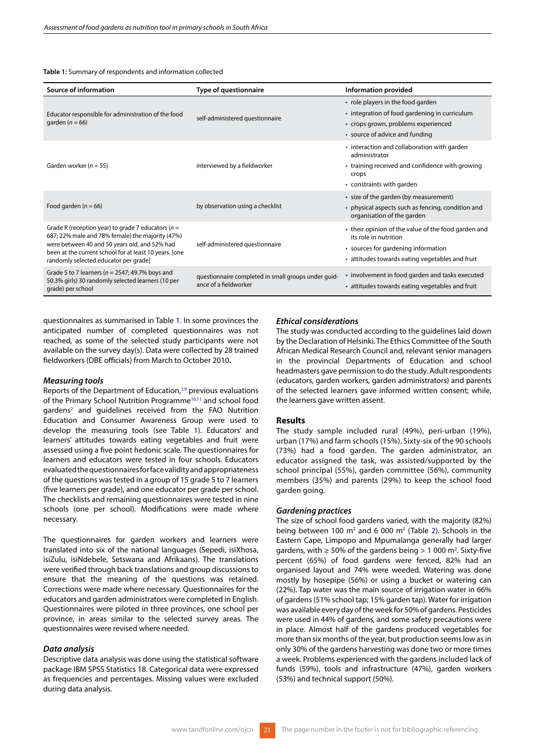**Table 1:** Summary of respondents and information collected

| <b>Source of information</b>                                                                                                                                                                                                                                  | <b>Type of questionnaire</b>                                                 | Information provided                                                                                                                                                   |
|---------------------------------------------------------------------------------------------------------------------------------------------------------------------------------------------------------------------------------------------------------------|------------------------------------------------------------------------------|------------------------------------------------------------------------------------------------------------------------------------------------------------------------|
| Educator responsible for administration of the food<br>garden ( $n = 66$ )                                                                                                                                                                                    | self-administered questionnaire                                              | • role players in the food garden<br>• integration of food gardening in curriculum<br>• crops grown, problems experienced<br>• source of advice and funding            |
| Garden worker ( $n = 55$ )                                                                                                                                                                                                                                    | interviewed by a fieldworker                                                 | • interaction and collaboration with garden<br>administrator<br>• training received and confidence with growing<br>crops<br>• constraints with garden                  |
| Food garden ( $n = 66$ )                                                                                                                                                                                                                                      | by observation using a checklist                                             | • size of the garden (by measurement)<br>• physical aspects such as fencing, condition and<br>organisation of the garden                                               |
| Grade R (reception year) to grade 7 educators ( $n =$<br>687; 22% male and 78% female) the majority (47%)<br>were between 40 and 50 years old, and 52% had<br>been at the current school for at least 10 years. [one<br>randomly selected educator per grade] | self-administered questionnaire                                              | • their opinion of the value of the food garden and<br>its role in nutrition<br>• sources for gardening information<br>• attitudes towards eating vegetables and fruit |
| Grade 5 to 7 learners ( $n = 2547$ ; 49.7% boys and<br>50.3% girls) 30 randomly selected learners (10 per<br>grade) per school                                                                                                                                | questionnaire completed in small groups under quid-<br>ance of a fieldworker | • involvement in food garden and tasks executed<br>• attitudes towards eating vegetables and fruit                                                                     |

questionnaires as summarised in Table 1. In some provinces the anticipated number of completed questionnaires was not reached, as some of the selected study participants were not available on the survey day(s). Data were collected by 28 trained fieldworkers (DBE officials) from March to October 2010**.**

#### *Measuring tools*

Reports of the Department of Education,<sup>1,9</sup> previous evaluations of the Primary School Nutrition Programme<sup>10,11</sup> and school food gardens<sup>2</sup> and guidelines received from the FAO Nutrition Education and Consumer Awareness Group were used to develop the measuring tools (see Table 1). Educators' and learners' attitudes towards eating vegetables and fruit were assessed using a five point hedonic scale. The questionnaires for learners and educators were tested in four schools. Educators evaluated the questionnaires for face validity and appropriateness of the questions was tested in a group of 15 grade 5 to 7 learners (five learners per grade), and one educator per grade per school. The checklists and remaining questionnaires were tested in nine schools (one per school). Modifications were made where necessary.

The questionnaires for garden workers and learners were translated into six of the national languages (Sepedi, isiXhosa, isiZulu, isiNdebele, Setswana and Afrikaans). The translations were verified through back translations and group discussions to ensure that the meaning of the questions was retained. Corrections were made where necessary. Questionnaires for the educators and garden administrators were completed in English. Questionnaires were piloted in three provinces, one school per province, in areas similar to the selected survey areas. The questionnaires were revised where needed.

#### *Data analysis*

Descriptive data analysis was done using the statistical software package IBM SPSS Statistics 18. Categorical data were expressed as frequencies and percentages. Missing values were excluded during data analysis.

#### *Ethical considerations*

The study was conducted according to the guidelines laid down by the Declaration of Helsinki. The Ethics Committee of the South African Medical Research Council and, relevant senior managers in the provincial Departments of Education and school headmasters gave permission to do the study. Adult respondents (educators, garden workers, garden administrators) and parents of the selected learners gave informed written consent; while, the learners gave written assent.

#### **Results**

The study sample included rural (49%), peri-urban (19%), urban (17%) and farm schools (15%). Sixty-six of the 90 schools (73%) had a food garden. The garden administrator, an educator assigned the task, was assisted/supported by the school principal (55%), garden committee (56%), community members (35%) and parents (29%) to keep the school food garden going.

#### *Gardening practices*

The size of school food gardens varied, with the majority (82%) being between 100  $m^2$  and 6 000  $m^2$  (Table 2). Schools in the Eastern Cape, Limpopo and Mpumalanga generally had larger gardens, with  $\geq 50\%$  of the gardens being  $> 1000$  m<sup>2</sup>. Sixty-five percent (65%) of food gardens were fenced, 82% had an organised layout and 74% were weeded. Watering was done mostly by hosepipe (56%) or using a bucket or watering can (22%). Tap water was the main source of irrigation water in 66% of gardens (51% school tap; 15% garden tap). Water for irrigation was available every day of the week for 50% of gardens. Pesticides were used in 44% of gardens, and some safety precautions were in place. Almost half of the gardens produced vegetables for more than six months of the year, but production seems low as in only 30% of the gardens harvesting was done two or more times a week. Problems experienced with the gardens included lack of funds (59%), tools and infrastructure (47%), garden workers (53%) and technical support (50%).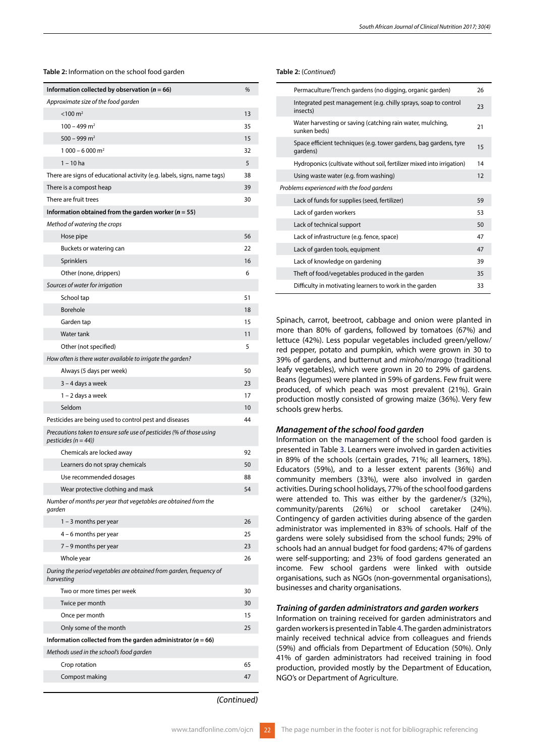**Table 2:** Information on the school food garden

| Information collected by observation ( $n = 66$ )                                               | %  |
|-------------------------------------------------------------------------------------------------|----|
| Approximate size of the food garden                                                             |    |
| $< 100 \text{ m}^2$                                                                             | 13 |
| $100 - 499$ m <sup>2</sup>                                                                      | 35 |
| $500 - 999$ m <sup>2</sup>                                                                      | 15 |
| 1 000 - 6 000 m <sup>2</sup>                                                                    | 32 |
| $1 - 10$ ha                                                                                     | 5  |
| There are signs of educational activity (e.g. labels, signs, name tags)                         | 38 |
| There is a compost heap                                                                         | 39 |
| There are fruit trees                                                                           | 30 |
| Information obtained from the garden worker ( $n = 55$ )                                        |    |
| Method of watering the crops                                                                    |    |
| Hose pipe                                                                                       | 56 |
| Buckets or watering can                                                                         | 22 |
| Sprinklers                                                                                      | 16 |
| Other (none, drippers)                                                                          | 6  |
| Sources of water for irrigation                                                                 |    |
| School tap                                                                                      | 51 |
| Borehole                                                                                        | 18 |
| Garden tap                                                                                      | 15 |
| Water tank                                                                                      | 11 |
| Other (not specified)                                                                           | 5  |
| How often is there water available to irrigate the garden?                                      |    |
| Always (5 days per week)                                                                        | 50 |
| 3 – 4 days a week                                                                               | 23 |
| 1 – 2 days a week                                                                               | 17 |
| Seldom                                                                                          | 10 |
| Pesticides are being used to control pest and diseases                                          | 44 |
| Precautions taken to ensure safe use of pesticides (% of those using<br>pesticides $(n = 44)$ ) |    |
| Chemicals are locked away                                                                       | 92 |
| Learners do not spray chemicals                                                                 | 50 |
| Use recommended dosages                                                                         | 88 |
| Wear protective clothing and mask                                                               | 54 |
| Number of months per year that vegetables are obtained from the<br>garden                       |    |
| $1 - 3$ months per year                                                                         | 26 |
| 4 – 6 months per year                                                                           | 25 |
| $7 - 9$ months per year                                                                         | 23 |
| Whole year                                                                                      | 26 |
| During the period vegetables are obtained from garden, frequency of<br>harvesting               |    |
| Two or more times per week                                                                      | 30 |
| Twice per month                                                                                 | 30 |
| Once per month                                                                                  | 15 |
| Only some of the month                                                                          | 25 |
| Information collected from the garden administrator ( $n = 66$ )                                |    |
| Methods used in the school's food garden                                                        |    |
| Crop rotation                                                                                   | 65 |
| Compost making                                                                                  | 47 |
|                                                                                                 |    |

**Table 2:** (*Continued*)

| Permaculture/Trench gardens (no digging, organic garden)                      | 26 |
|-------------------------------------------------------------------------------|----|
| Integrated pest management (e.g. chilly sprays, soap to control<br>insects)   | 23 |
| Water harvesting or saving (catching rain water, mulching,<br>sunken beds)    | 21 |
| Space efficient techniques (e.g. tower gardens, bag gardens, tyre<br>gardens) | 15 |
| Hydroponics (cultivate without soil, fertilizer mixed into irrigation)        | 14 |
| Using waste water (e.g. from washing)                                         | 12 |
| Problems experienced with the food gardens                                    |    |
| Lack of funds for supplies (seed, fertilizer)                                 | 59 |
| Lack of garden workers                                                        | 53 |
| Lack of technical support                                                     | 50 |
| Lack of infrastructure (e.g. fence, space)                                    | 47 |
| Lack of garden tools, equipment                                               | 47 |
| Lack of knowledge on gardening                                                | 39 |
| Theft of food/vegetables produced in the garden                               | 35 |
| Difficulty in motivating learners to work in the garden                       | 33 |
|                                                                               |    |

Spinach, carrot, beetroot, cabbage and onion were planted in more than 80% of gardens, followed by tomatoes (67%) and lettuce (42%). Less popular vegetables included green/yellow/ red pepper, potato and pumpkin, which were grown in 30 to 39% of gardens, and butternut and *miroho*/*marogo* (traditional leafy vegetables), which were grown in 20 to 29% of gardens. Beans (legumes) were planted in 59% of gardens. Few fruit were produced, of which peach was most prevalent (21%). Grain production mostly consisted of growing maize (36%). Very few schools grew herbs.

# *Management of the school food garden*

Information on the management of the school food garden is presented in Table 3. Learners were involved in garden activities in 89% of the schools (certain grades, 71%; all learners, 18%). Educators (59%), and to a lesser extent parents (36%) and community members (33%), were also involved in garden activities. During school holidays, 77% of the school food gardens were attended to. This was either by the gardener/s (32%), community/parents (26%) or school caretaker (24%). Contingency of garden activities during absence of the garden administrator was implemented in 83% of schools. Half of the gardens were solely subsidised from the school funds; 29% of schools had an annual budget for food gardens; 47% of gardens were self-supporting; and 23% of food gardens generated an income. Few school gardens were linked with outside organisations, such as NGOs (non-governmental organisations), businesses and charity organisations.

# *Training of garden administrators and garden workers*

Information on training received for garden administrators and garden workers is presented in Table 4. The garden administrators mainly received technical advice from colleagues and friends (59%) and officials from Department of Education (50%). Only 41% of garden administrators had received training in food production, provided mostly by the Department of Education, NGO's or Department of Agriculture.

*(Continued)*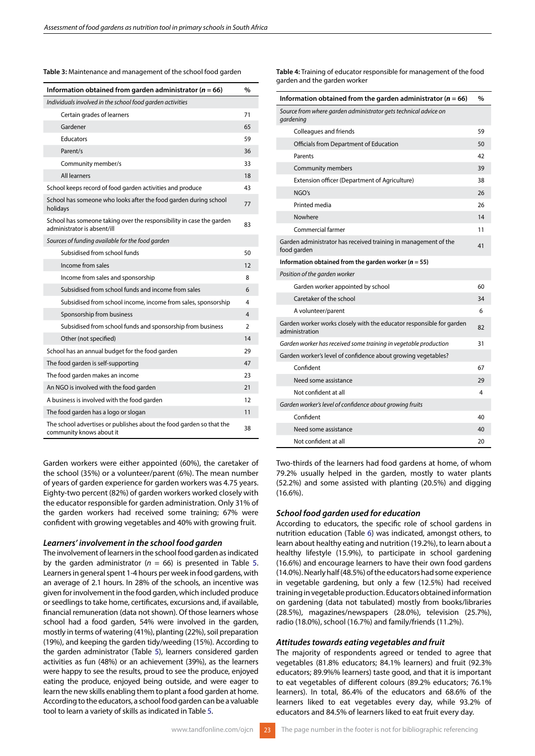#### **Table 3:** Maintenance and management of the school food garden

| Information obtained from garden administrator ( $n = 66$ )                                         |                |
|-----------------------------------------------------------------------------------------------------|----------------|
| Individuals involved in the school food garden activities                                           |                |
| Certain grades of learners                                                                          | 71             |
| Gardener                                                                                            | 65             |
| <b>Educators</b>                                                                                    | 59             |
| Parent/s                                                                                            | 36             |
| Community member/s                                                                                  | 33             |
| All learners                                                                                        | 18             |
| School keeps record of food garden activities and produce                                           | 43             |
| School has someone who looks after the food garden during school<br>holidays                        | 77             |
| School has someone taking over the responsibility in case the garden<br>administrator is absent/ill | 83             |
| Sources of funding available for the food garden                                                    |                |
| Subsidised from school funds                                                                        | 50             |
| Income from sales                                                                                   | 12             |
| Income from sales and sponsorship                                                                   | 8              |
| Subsidised from school funds and income from sales                                                  | 6              |
| Subsidised from school income, income from sales, sponsorship                                       | 4              |
| Sponsorship from business                                                                           | 4              |
| Subsidised from school funds and sponsorship from business                                          | $\overline{2}$ |
| Other (not specified)                                                                               | 14             |
| School has an annual budget for the food garden                                                     | 29             |
| The food garden is self-supporting                                                                  | 47             |
| The food garden makes an income                                                                     | 23             |
| An NGO is involved with the food garden                                                             | 21             |
| A business is involved with the food garden                                                         | 12             |
| The food garden has a logo or slogan                                                                | 11             |
| The school advertises or publishes about the food garden so that the<br>community knows about it    | 38             |

Garden workers were either appointed (60%), the caretaker of the school (35%) or a volunteer/parent (6%). The mean number of years of garden experience for garden workers was 4.75 years. Eighty-two percent (82%) of garden workers worked closely with the educator responsible for garden administration. Only 31% of the garden workers had received some training; 67% were confident with growing vegetables and 40% with growing fruit.

#### *Learners' involvement in the school food garden*

The involvement of learners in the school food garden as indicated by the garden administrator ( $n = 66$ ) is presented in Table 5. Learners in general spent 1-4 hours per week in food gardens, with an average of 2.1 hours. In 28% of the schools, an incentive was given for involvement in the food garden, which included produce or seedlings to take home, certificates, excursions and, if available, financial remuneration (data not shown). Of those learners whose school had a food garden, 54% were involved in the garden, mostly in terms of watering (41%), planting (22%), soil preparation (19%), and keeping the garden tidy/weeding (15%). According to the garden administrator (Table 5), learners considered garden activities as fun (48%) or an achievement (39%), as the learners were happy to see the results, proud to see the produce, enjoyed eating the produce, enjoyed being outside, and were eager to learn the new skills enabling them to plant a food garden at home. According to the educators, a school food garden can be a valuable tool to learn a variety of skills as indicated in Table 5.

**Table 4:** Training of educator responsible for management of the food garden and the garden worker

| Information obtained from the garden administrator ( $n = 66$ )                        | $\frac{0}{0}$ |
|----------------------------------------------------------------------------------------|---------------|
| Source from where garden administrator gets technical advice on<br>gardening           |               |
| Colleagues and friends                                                                 | 59            |
| Officials from Department of Education                                                 | 50            |
| Parents                                                                                | 42            |
| Community members                                                                      | 39            |
| Extension officer (Department of Agriculture)                                          | 38            |
| NGO's                                                                                  | 26            |
| Printed media                                                                          | 26            |
| Nowhere                                                                                | 14            |
| Commercial farmer                                                                      | 11            |
| Garden administrator has received training in management of the<br>food garden         | 41            |
| Information obtained from the garden worker ( $n = 55$ )                               |               |
| Position of the garden worker                                                          |               |
| Garden worker appointed by school                                                      | 60            |
| Caretaker of the school                                                                | 34            |
| A volunteer/parent                                                                     | 6             |
| Garden worker works closely with the educator responsible for garden<br>administration | 82            |
| Garden worker has received some training in vegetable production                       | 31            |
| Garden worker's level of confidence about growing vegetables?                          |               |
| Confident                                                                              | 67            |
| Need some assistance                                                                   | 29            |
| Not confident at all                                                                   | 4             |
| Garden worker's level of confidence about growing fruits                               |               |
| Confident                                                                              | 40            |
| Need some assistance                                                                   | 40            |
| Not confident at all                                                                   | 20            |

Two-thirds of the learners had food gardens at home, of whom 79.2% usually helped in the garden, mostly to water plants (52.2%) and some assisted with planting (20.5%) and digging  $(16.6\%)$ .

#### *School food garden used for education*

According to educators, the specific role of school gardens in nutrition education (Table 6) was indicated, amongst others, to learn about healthy eating and nutrition (19.2%), to learn about a healthy lifestyle (15.9%), to participate in school gardening (16.6%) and encourage learners to have their own food gardens (14.0%). Nearly half (48.5%) of the educators had some experience in vegetable gardening, but only a few (12.5%) had received training in vegetable production. Educators obtained information on gardening (data not tabulated) mostly from books/libraries (28.5%), magazines/newspapers (28.0%), television (25.7%), radio (18.0%), school (16.7%) and family/friends (11.2%).

# *Attitudes towards eating vegetables and fruit*

The majority of respondents agreed or tended to agree that vegetables (81.8% educators; 84.1% learners) and fruit (92.3% educators; 89.9%% learners) taste good, and that it is important to eat vegetables of different colours (89.2% educators; 76.1% learners). In total, 86.4% of the educators and 68.6% of the learners liked to eat vegetables every day, while 93.2% of educators and 84.5% of learners liked to eat fruit every day.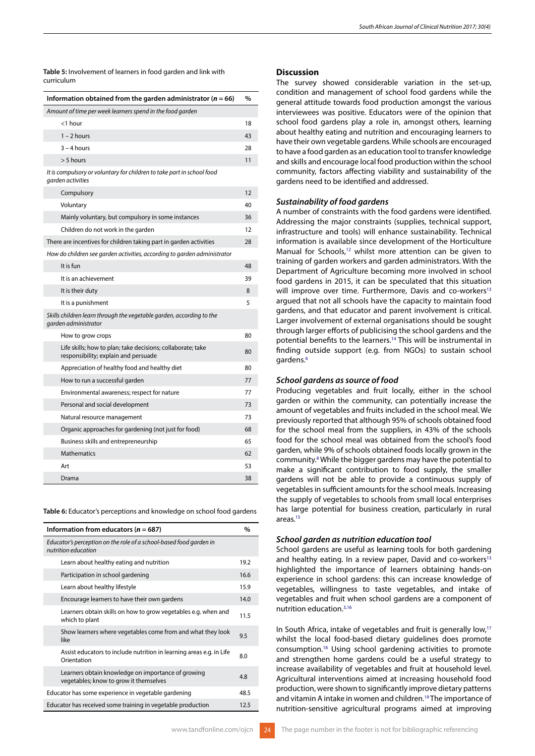**Table 5:** Involvement of learners in food garden and link with curriculum

| Information obtained from the garden administrator ( $n = 66$ )                                     | $\frac{0}{0}$ |
|-----------------------------------------------------------------------------------------------------|---------------|
| Amount of time per week learners spend in the food garden                                           |               |
| <1 hour                                                                                             | 18            |
| $1 - 2$ hours                                                                                       | 43            |
| $3 - 4$ hours                                                                                       | 28            |
| $> 5$ hours                                                                                         | 11            |
| It is compulsory or voluntary for children to take part in school food<br>garden activities         |               |
| Compulsory                                                                                          | 12            |
| Voluntary                                                                                           | 40            |
| Mainly voluntary, but compulsory in some instances                                                  | 36            |
| Children do not work in the garden                                                                  | 12            |
| There are incentives for children taking part in garden activities                                  | 28            |
| How do children see garden activities, according to garden administrator                            |               |
| It is fun                                                                                           | 48            |
| It is an achievement                                                                                | 39            |
| It is their duty                                                                                    | 8             |
| It is a punishment                                                                                  | 5             |
| Skills children learn through the vegetable garden, according to the<br>garden administrator        |               |
| How to grow crops                                                                                   | 80            |
| Life skills; how to plan; take decisions; collaborate; take<br>responsibility; explain and persuade | 80            |
| Appreciation of healthy food and healthy diet                                                       | 80            |
| How to run a successful garden                                                                      | 77            |
| Environmental awareness; respect for nature                                                         | 77            |
| Personal and social development                                                                     | 73            |
| Natural resource management                                                                         | 73            |
| Organic approaches for gardening (not just for food)                                                | 68            |
| Business skills and entrepreneurship                                                                | 65            |
| <b>Mathematics</b>                                                                                  | 62            |
| Art                                                                                                 | 53            |
| Drama                                                                                               | 38            |

**Table 6:** Educator's perceptions and knowledge on school food gardens

| Information from educators ( $n = 687$ )                                                     | $\%$ |
|----------------------------------------------------------------------------------------------|------|
| Educator's perception on the role of a school-based food garden in<br>nutrition education    |      |
| Learn about healthy eating and nutrition                                                     | 19.2 |
| Participation in school gardening                                                            | 16.6 |
| Learn about healthy lifestyle                                                                | 15.9 |
| Encourage learners to have their own gardens                                                 | 14.0 |
| Learners obtain skills on how to grow vegetables e.g. when and<br>which to plant             | 11.5 |
| Show learners where vegetables come from and what they look<br>like                          | 9.5  |
| Assist educators to include nutrition in learning areas e.g. in Life<br>Orientation          | 8.0  |
| Learners obtain knowledge on importance of growing<br>vegetables; know to grow it themselves | 4.8  |
| Educator has some experience in vegetable gardening                                          | 48.5 |
| Educator has received some training in vegetable production                                  | 12.5 |

# **Discussion**

The survey showed considerable variation in the set-up, condition and management of school food gardens while the general attitude towards food production amongst the various interviewees was positive. Educators were of the opinion that school food gardens play a role in, amongst others, learning about healthy eating and nutrition and encouraging learners to have their own vegetable gardens. While schools are encouraged to have a food garden as an education tool to transfer knowledge and skills and encourage local food production within the school community, factors affecting viability and sustainability of the gardens need to be identified and addressed.

# *Sustainability of food gardens*

A number of constraints with the food gardens were identified. Addressing the major constraints (supplies, technical support, infrastructure and tools) will enhance sustainability. Technical information is available since development of the Horticulture Manual for Schools,<sup>12</sup> whilst more attention can be given to training of garden workers and garden administrators. With the Department of Agriculture becoming more involved in school food gardens in 2015, it can be speculated that this situation will improve over time. Furthermore, Davis and co-workers<sup>13</sup> argued that not all schools have the capacity to maintain food gardens, and that educator and parent involvement is critical. Larger involvement of external organisations should be sought through larger efforts of publicising the school gardens and the potential benefits to the learners.14 This will be instrumental in finding outside support (e.g. from NGOs) to sustain school gardens.<sup>6</sup>

## *School gardens as source of food*

Producing vegetables and fruit locally, either in the school garden or within the community, can potentially increase the amount of vegetables and fruits included in the school meal. We previously reported that although 95% of schools obtained food for the school meal from the suppliers, in 43% of the schools food for the school meal was obtained from the school's food garden, while 9% of schools obtained foods locally grown in the community.<sup>8</sup> While the bigger gardens may have the potential to make a significant contribution to food supply, the smaller gardens will not be able to provide a continuous supply of vegetables in sufficient amounts for the school meals. Increasing the supply of vegetables to schools from small local enterprises has large potential for business creation, particularly in rural areas.15

#### *School garden as nutrition education tool*

School gardens are useful as learning tools for both gardening and healthy eating. In a review paper, David and co-workers $13$ highlighted the importance of learners obtaining hands-on experience in school gardens: this can increase knowledge of vegetables, willingness to taste vegetables, and intake of vegetables and fruit when school gardens are a component of nutrition education.3,16

In South Africa, intake of vegetables and fruit is generally low,<sup>17</sup> whilst the local food-based dietary guidelines does promote consumption.18 Using school gardening activities to promote and strengthen home gardens could be a useful strategy to increase availability of vegetables and fruit at household level. Agricultural interventions aimed at increasing household food production, were shown to significantly improve dietary patterns and vitamin A intake in women and children.19 The importance of nutrition-sensitive agricultural programs aimed at improving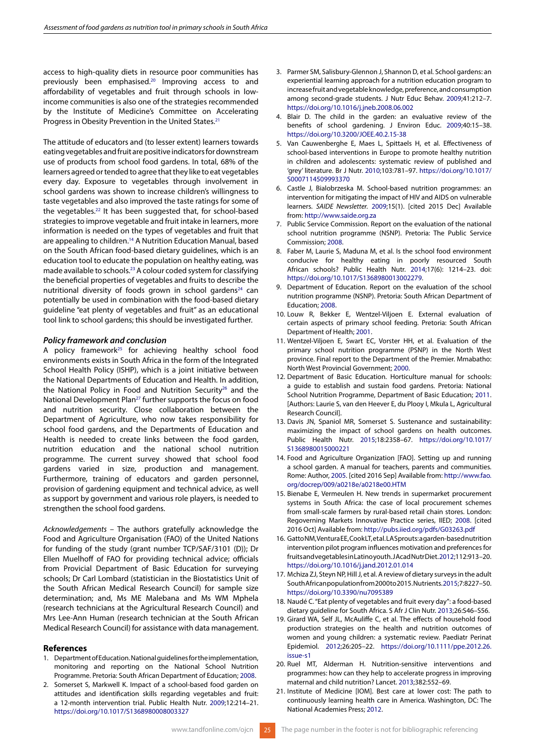access to high-quality diets in resource poor communities has previously been emphasised.20 Improving access to and affordability of vegetables and fruit through schools in lowincome communities is also one of the strategies recommended by the Institute of Medicine's Committee on Accelerating Progress in Obesity Prevention in the United States.<sup>21</sup>

The attitude of educators and (to lesser extent) learners towards eating vegetables and fruit are positive indicators for downstream use of products from school food gardens. In total, 68% of the learners agreed or tended to agree that they like to eat vegetables every day. Exposure to vegetables through involvement in school gardens was shown to increase children's willingness to taste vegetables and also improved the taste ratings for some of the vegetables.22 It has been suggested that, for school-based strategies to improve vegetable and fruit intake in learners, more information is needed on the types of vegetables and fruit that are appealing to children.<sup>14</sup> A Nutrition Education Manual, based on the South African food-based dietary guidelines, which is an education tool to educate the population on healthy eating, was made available to schools.23 A colour coded system for classifying the beneficial properties of vegetables and fruits to describe the nutritional diversity of foods grown in school gardens<sup>24</sup> can potentially be used in combination with the food-based dietary guideline "eat plenty of vegetables and fruit" as an educational tool link to school gardens; this should be investigated further.

# *Policy framework and conclusion*

A policy framework<sup>25</sup> for achieving healthy school food environments exists in South Africa in the form of the Integrated School Health Policy (ISHP), which is a joint initiative between the National Departments of Education and Health. In addition, the National Policy in Food and Nutrition Security<sup>26</sup> and the National Development Plan<sup>27</sup> further supports the focus on food and nutrition security. Close collaboration between the Department of Agriculture, who now takes responsibility for school food gardens, and the Departments of Education and Health is needed to create links between the food garden, nutrition education and the national school nutrition programme. The current survey showed that school food gardens varied in size, production and management. Furthermore, training of educators and garden personnel, provision of gardening equipment and technical advice, as well as support by government and various role players, is needed to strengthen the school food gardens.

*Acknowledgements* – The authors gratefully acknowledge the Food and Agriculture Organisation (FAO) of the United Nations for funding of the study (grant number TCP/SAF/3101 (D)); Dr Ellen Muelhoff of FAO for providing technical advice; officials from Provicial Department of Basic Education for surveying schools; Dr Carl Lombard (statistician in the Biostatistics Unit of the South African Medical Research Council) for sample size determination; and, Ms ME Malebana and Ms WM Mphela (research technicians at the Agricultural Research Council) and Mrs Lee-Ann Human (research technician at the South African Medical Research Council) for assistance with data management.

## **References**

- 1. Department of Education. National guidelines for the implementation, monitoring and reporting on the National School Nutrition Programme. Pretoria: South African Department of Education; 2008.
- 2. Somerset S, Markwell K. Impact of a school-based food garden on attitudes and identification skills regarding vegetables and fruit: a 12-month intervention trial. Public Health Nutr. 2009;12:214–21. https://doi.org/10.1017/S1368980008003327
- 3. Parmer SM, Salisbury-Glennon J, Shannon D, et al. School gardens: an experiential learning approach for a nutrition education program to increase fruit and vegetable knowledge, preference, and consumption among second-grade students. J Nutr Educ Behav. 2009;41:212–7. https://doi.org/10.1016/j.jneb.2008.06.002
- 4. Blair D. The child in the garden: an evaluative review of the benefits of school gardening. J Environ Educ. 2009;40:15–38. https://doi.org/10.3200/JOEE.40.2.15-38
- 5. Van Cauwenberghe E, Maes L, Spittaels H, et al. Effectiveness of school-based interventions in Europe to promote healthy nutrition in children and adolescents: systematic review of published and 'grey' literature. Br J Nutr. 2010;103:781–97. https://doi.org/10.1017/ S0007114509993370
- 6. Castle J, Bialobrzeska M. School-based nutrition programmes: an intervention for mitigating the impact of HIV and AIDS on vulnerable learners. *SAIDE Newsletter.* 2009;15(1). [cited 2015 Dec] Available from: http://www.saide.org.za
- 7. Public Service Commission. Report on the evaluation of the national school nutrition programme (NSNP). Pretoria: The Public Service Commission; 2008.
- 8. Faber M, Laurie S, Maduna M, et al. Is the school food environment conducive for healthy eating in poorly resourced South African schools? Public Health Nutr. 2014;17(6): 1214–23. doi: https://doi.org/10.1017/S1368980013002279.
- 9. Department of Education. Report on the evaluation of the school nutrition programme (NSNP). Pretoria: South African Department of Education; 2008.
- 10. Louw R, Bekker E, Wentzel-Viljoen E. External evaluation of certain aspects of primary school feeding. Pretoria: South African Department of Health; 2001.
- 11. Wentzel-Viljoen E, Swart EC, Vorster HH, et al. Evaluation of the primary school nutrition programme (PSNP) in the North West province. Final report to the Department of the Premier. Mmabatho: North West Provincial Government; 2000.
- 12. Department of Basic Education. Horticulture manual for schools: a guide to establish and sustain food gardens. Pretoria: National School Nutrition Programme, Department of Basic Education; 2011. [Authors: Laurie S, van den Heever E, du Plooy I, Mkula L, Agricultural Research Council].
- 13. Davis JN, Spaniol MR, Somerset S. Sustenance and sustainability: maximizing the impact of school gardens on health outcomes. Public Health Nutr. 2015;18:2358–67. https://doi.org/10.1017/ S1368980015000221
- 14. Food and Agriculture Organization [FAO]. Setting up and running a school garden. A manual for teachers, parents and communities. Rome: Author, 2005. [cited 2016 Sep] Available from: http://www.fao. org/docrep/009/a0218e/a0218e00.HTM
- 15. Bienabe E, Vermeulen H. New trends in supermarket procurement systems in South Africa: the case of local procurement schemes from small-scale farmers by rural-based retail chain stores. London: Regoverning Markets Innovative Practice series, IIED; 2008. [cited 2016 Oct] Available from: http://pubs.iied.org/pdfs/G03263.pdf
- 16. Gatto NM, Ventura EE, Cook LT, et al. LA Sprouts: a garden-based nutrition intervention pilot program influences motivation and preferences for fruits and vegetables in Latino youth. J Acad Nutr Diet. 2012;112:913–20. https://doi.org/10.1016/j.jand.2012.01.014
- 17. Mchiza ZJ, Steyn NP, Hill J, et al. A review of dietary surveys in the adult South African population from 2000 to 2015. Nutrients. 2015;7:8227–50. https://doi.org/10.3390/nu7095389
- 18. Naudé C. "Eat plenty of vegetables and fruit every day": a food-based dietary guideline for South Africa. S Afr J Clin Nutr. 2013;26:S46–S56.
- 19. Girard WA, Self JL, McAuliffe C, et al. The effects of household food production strategies on the health and nutrition outcomes of women and young children: a systematic review. Paediatr Perinat Epidemiol. 2012;26:205–22. https://doi.org/10.1111/ppe.2012.26. issue-s1
- 20. Ruel MT, Alderman H. Nutrition-sensitive interventions and programmes: how can they help to accelerate progress in improving maternal and child nutrition? Lancet. 2013;382:552–69.
- 21. Institute of Medicine [IOM]. Best care at lower cost: The path to continuously learning health care in America. Washington, DC: The National Academies Press; 2012.